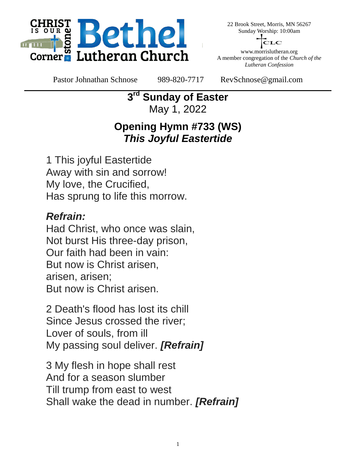

22 Brook Street, Morris, MN 56267 Sunday Worship: 10:00am

LC

www.morrislutheran.org A member congregation of the *Church of the Lutheran Confession*

Pastor Johnathan Schnose 989-820-7717 RevSchnose@gmail.com

**3 rd Sunday of Easter** May 1, 2022

## **Opening Hymn #733 (WS)** *This Joyful Eastertide*

1 This joyful Eastertide Away with sin and sorrow! My love, the Crucified, Has sprung to life this morrow.

### *Refrain:*

Had Christ, who once was slain, Not burst His three-day prison, Our faith had been in vain: But now is Christ arisen, arisen, arisen; But now is Christ arisen.

2 Death's flood has lost its chill Since Jesus crossed the river; Lover of souls, from ill My passing soul deliver. *[Refrain]*

3 My flesh in hope shall rest And for a season slumber Till trump from east to west Shall wake the dead in number. *[Refrain]*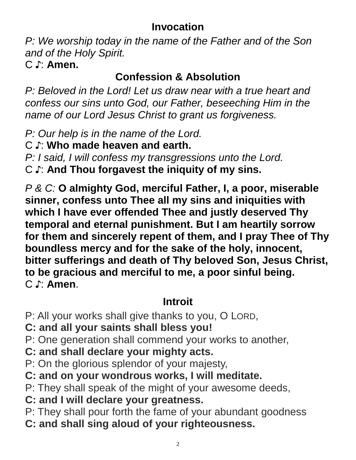### **Invocation**

*P: We worship today in the name of the Father and of the Son and of the Holy Spirit.* C ♪: **Amen.**

## **Confession & Absolution**

*P: Beloved in the Lord! Let us draw near with a true heart and confess our sins unto God, our Father, beseeching Him in the name of our Lord Jesus Christ to grant us forgiveness.*

*P: Our help is in the name of the Lord.*

C ♪: **Who made heaven and earth.**

*P: I said, I will confess my transgressions unto the Lord.* C ♪: **And Thou forgavest the iniquity of my sins.**

*P & C:* **O almighty God, merciful Father, I, a poor, miserable sinner, confess unto Thee all my sins and iniquities with which I have ever offended Thee and justly deserved Thy temporal and eternal punishment. But I am heartily sorrow for them and sincerely repent of them, and I pray Thee of Thy boundless mercy and for the sake of the holy, innocent, bitter sufferings and death of Thy beloved Son, Jesus Christ, to be gracious and merciful to me, a poor sinful being.** C ♪: **Amen**.

# **Introit**

- P: All your works shall give thanks to you, O LORD,
- **C: and all your saints shall bless you!**
- P: One generation shall commend your works to another,
- **C: and shall declare your mighty acts.**
- P: On the glorious splendor of your majesty,
- **C: and on your wondrous works, I will meditate.**
- P: They shall speak of the might of your awesome deeds,
- **C: and I will declare your greatness.**
- P: They shall pour forth the fame of your abundant goodness
- **C: and shall sing aloud of your righteousness.**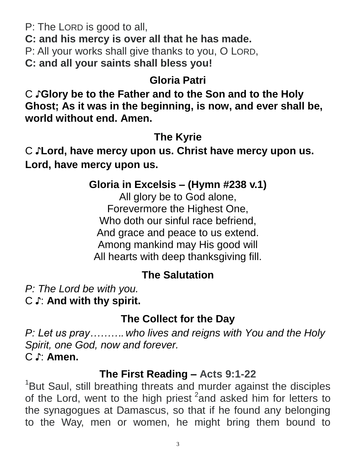P: The LORD is good to all,

**C: and his mercy is over all that he has made.**

P: All your works shall give thanks to you, O LORD,

**C: and all your saints shall bless you!**

## **Gloria Patri**

C ♪**Glory be to the Father and to the Son and to the Holy Ghost; As it was in the beginning, is now, and ever shall be, world without end. Amen.**

## **The Kyrie**

C ♪**Lord, have mercy upon us. Christ have mercy upon us. Lord, have mercy upon us.**

### **Gloria in Excelsis – (Hymn #238 v.1)**

All glory be to God alone, Forevermore the Highest One, Who doth our sinful race befriend, And grace and peace to us extend. Among mankind may His good will All hearts with deep thanksgiving fill.

## **The Salutation**

*P: The Lord be with you.* C ♪: **And with thy spirit.**

#### **The Collect for the Day**

*P: Let us pray………. who lives and reigns with You and the Holy Spirit, one God, now and forever.* C ♪: **Amen.**

#### **The First Reading – Acts 9:1-22**

<sup>1</sup>But Saul, still breathing threats and murder against the disciples of the Lord, went to the high priest <sup>2</sup> and asked him for letters to the synagogues at Damascus, so that if he found any belonging to the Way, men or women, he might bring them bound to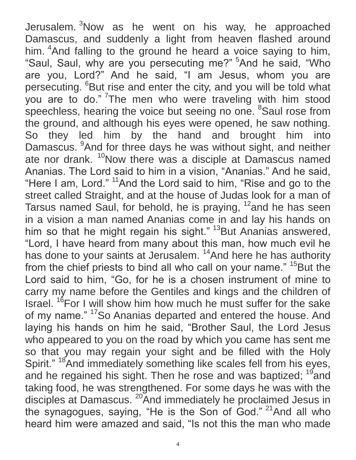Jerusalem. <sup>3</sup>Now as he went on his way, he approached Damascus, and suddenly a light from heaven flashed around him. <sup>4</sup>And falling to the ground he heard a voice saying to him, "Saul, Saul, why are you persecuting me?" <sup>5</sup>And he said, "Who are you, Lord?" And he said, "I am Jesus, whom you are persecuting. <sup>6</sup>But rise and enter the city, and you will be told what you are to do." <sup>7</sup>The men who were traveling with him stood speechless, hearing the voice but seeing no one. <sup>8</sup>Saul rose from the ground, and although his eyes were opened, he saw nothing. So they led him by the hand and brought him into Damascus. <sup>9</sup>And for three days he was without sight, and neither ate nor drank. <sup>10</sup>Now there was a disciple at Damascus named Ananias. The Lord said to him in a vision, "Ananias." And he said, "Here I am, Lord." <sup>11</sup>And the Lord said to him, "Rise and go to the street called Straight, and at the house of Judas look for a man of Tarsus named Saul, for behold, he is praying, <sup>12</sup>and he has seen in a vision a man named Ananias come in and lay his hands on him so that he might regain his sight." <sup>13</sup>But Ananias answered, "Lord, I have heard from many about this man, how much evil he has done to your saints at Jerusalem.<sup>14</sup>And here he has authority from the chief priests to bind all who call on your name."  $15$  But the Lord said to him, "Go, for he is a chosen instrument of mine to carry my name before the Gentiles and kings and the children of Israel. <sup>16</sup>For I will show him how much he must suffer for the sake of my name." <sup>17</sup>So Ananias departed and entered the house. And laying his hands on him he said, "Brother Saul, the Lord Jesus who appeared to you on the road by which you came has sent me so that you may regain your sight and be filled with the Holy Spirit." <sup>18</sup>And immediately something like scales fell from his eyes, and he regained his sight. Then he rose and was baptized; <sup>19</sup>and taking food, he was strengthened. For some days he was with the disciples at Damascus. <sup>20</sup>And immediately he proclaimed Jesus in the synagogues, saying, "He is the Son of God." <sup>21</sup>And all who heard him were amazed and said, "Is not this the man who made

4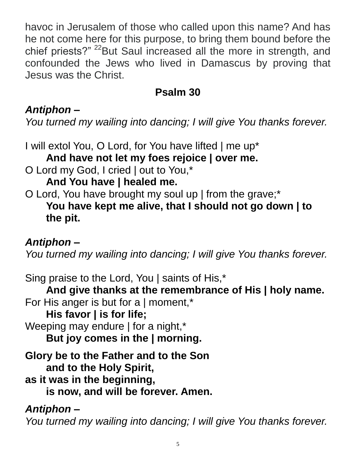havoc in Jerusalem of those who called upon this name? And has he not come here for this purpose, to bring them bound before the chief priests?" <sup>22</sup>But Saul increased all the more in strength, and confounded the Jews who lived in Damascus by proving that Jesus was the Christ.

### **Psalm 30**

### *Antiphon –*

*You turned my wailing into dancing; I will give You thanks forever.*

I will extol You, O Lord, for You have lifted | me up\* **And have not let my foes rejoice | over me.**

O Lord my God, I cried | out to You,\*

**And You have | healed me.**

O Lord, You have brought my soul up | from the grave;\* **You have kept me alive, that I should not go down | to the pit.**

#### *Antiphon –*

*You turned my wailing into dancing; I will give You thanks forever.*

Sing praise to the Lord, You | saints of His,\* **And give thanks at the remembrance of His | holy name.** For His anger is but for a | moment,\* **His favor | is for life;** Weeping may endure | for a night,\* **But joy comes in the | morning. Glory be to the Father and to the Son and to the Holy Spirit, as it was in the beginning, is now, and will be forever. Amen.** *Antiphon –*

*You turned my wailing into dancing; I will give You thanks forever.*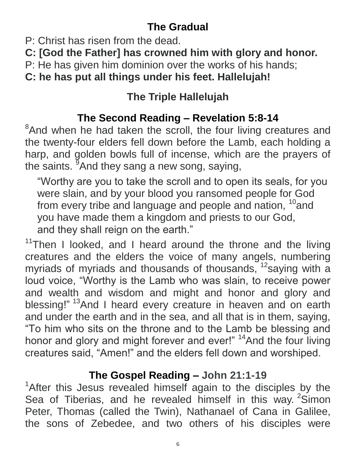# **The Gradual**

- P: Christ has risen from the dead.
- **C: [God the Father] has crowned him with glory and honor.**
- P: He has given him dominion over the works of his hands;

**C: he has put all things under his feet. Hallelujah!**

# **The Triple Hallelujah**

# **The Second Reading – Revelation 5:8-14**

<sup>8</sup>And when he had taken the scroll, the four living creatures and the twenty-four elders fell down before the Lamb, each holding a harp, and golden bowls full of incense, which are the prayers of the saints. <sup>9</sup>And they sang a new song, saying,

"Worthy are you to take the scroll and to open its seals, for you were slain, and by your blood you ransomed people for God from every tribe and language and people and nation, <sup>10</sup>and you have made them a kingdom and priests to our God, and they shall reign on the earth."

 $11$ Then I looked, and I heard around the throne and the living creatures and the elders the voice of many angels, numbering myriads of myriads and thousands of thousands, <sup>12</sup>saying with a loud voice, "Worthy is the Lamb who was slain, to receive power and wealth and wisdom and might and honor and glory and blessing!" <sup>13</sup>And I heard every creature in heaven and on earth and under the earth and in the sea, and all that is in them, saying, "To him who sits on the throne and to the Lamb be blessing and honor and glory and might forever and ever!" <sup>14</sup>And the four living creatures said, "Amen!" and the elders fell down and worshiped.

## **The Gospel Reading – John 21:1-19**

<sup>1</sup>After this Jesus revealed himself again to the disciples by the Sea of Tiberias, and he revealed himself in this way. <sup>2</sup>Simon Peter, Thomas (called the Twin), Nathanael of Cana in Galilee, the sons of Zebedee, and two others of his disciples were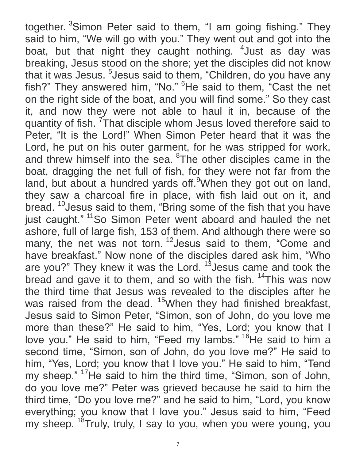together. <sup>3</sup>Simon Peter said to them, "I am going fishing." They said to him, "We will go with you." They went out and got into the boat, but that night they caught nothing. <sup>4</sup> Just as day was breaking, Jesus stood on the shore; yet the disciples did not know that it was Jesus. <sup>5</sup> Jesus said to them, "Children, do you have any fish?" They answered him, "No." <sup>6</sup>He said to them, "Cast the net on the right side of the boat, and you will find some." So they cast it, and now they were not able to haul it in, because of the quantity of fish. <sup>7</sup>That disciple whom Jesus loved therefore said to Peter, "It is the Lord!" When Simon Peter heard that it was the Lord, he put on his outer garment, for he was stripped for work, and threw himself into the sea. <sup>8</sup>The other disciples came in the boat, dragging the net full of fish, for they were not far from the land, but about a hundred yards off.<sup>9</sup>When they got out on land, they saw a charcoal fire in place, with fish laid out on it, and bread. <sup>10</sup> Jesus said to them, "Bring some of the fish that you have just caught." <sup>11</sup>So Simon Peter went aboard and hauled the net ashore, full of large fish, 153 of them. And although there were so many, the net was not torn.<sup>12</sup> Jesus said to them, "Come and have breakfast." Now none of the disciples dared ask him, "Who are you?" They knew it was the Lord. <sup>13</sup> Jesus came and took the bread and gave it to them, and so with the fish. <sup>14</sup>This was now the third time that Jesus was revealed to the disciples after he was raised from the dead. <sup>15</sup>When they had finished breakfast, Jesus said to Simon Peter, "Simon, son of John, do you love me more than these?" He said to him, "Yes, Lord; you know that I love you." He said to him, "Feed my lambs." <sup>16</sup>He said to him a second time, "Simon, son of John, do you love me?" He said to him, "Yes, Lord; you know that I love you." He said to him, "Tend my sheep." <sup>17</sup>He said to him the third time, "Simon, son of John, do you love me?" Peter was grieved because he said to him the third time, "Do you love me?" and he said to him, "Lord, you know everything; you know that I love you." Jesus said to him, "Feed my sheep. <sup>18</sup>Truly, truly, I say to you, when you were young, you

7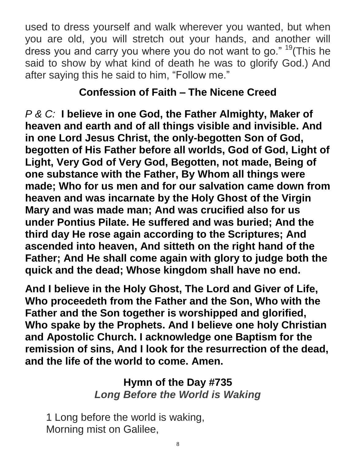used to dress yourself and walk wherever you wanted, but when you are old, you will stretch out your hands, and another will dress you and carry you where you do not want to go." <sup>19</sup> (This he said to show by what kind of death he was to glorify God.) And after saying this he said to him, "Follow me."

#### **Confession of Faith – The Nicene Creed**

*P & C:* **I believe in one God, the Father Almighty, Maker of heaven and earth and of all things visible and invisible. And in one Lord Jesus Christ, the only-begotten Son of God, begotten of His Father before all worlds, God of God, Light of Light, Very God of Very God, Begotten, not made, Being of one substance with the Father, By Whom all things were made; Who for us men and for our salvation came down from heaven and was incarnate by the Holy Ghost of the Virgin Mary and was made man; And was crucified also for us under Pontius Pilate. He suffered and was buried; And the third day He rose again according to the Scriptures; And ascended into heaven, And sitteth on the right hand of the Father; And He shall come again with glory to judge both the quick and the dead; Whose kingdom shall have no end.**

**And I believe in the Holy Ghost, The Lord and Giver of Life, Who proceedeth from the Father and the Son, Who with the Father and the Son together is worshipped and glorified, Who spake by the Prophets. And I believe one holy Christian and Apostolic Church. I acknowledge one Baptism for the remission of sins, And I look for the resurrection of the dead, and the life of the world to come. Amen.**

## **Hymn of the Day #735** *Long Before the World is Waking*

1 Long before the world is waking, Morning mist on Galilee,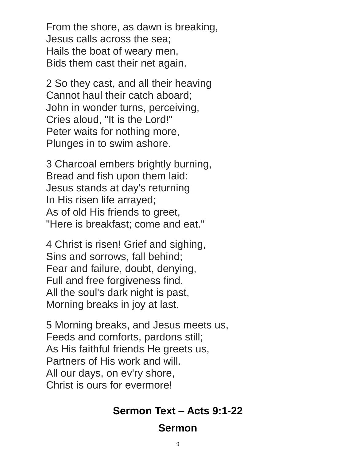From the shore, as dawn is breaking, Jesus calls across the sea; Hails the boat of weary men, Bids them cast their net again.

2 So they cast, and all their heaving Cannot haul their catch aboard; John in wonder turns, perceiving, Cries aloud, "It is the Lord!" Peter waits for nothing more, Plunges in to swim ashore.

3 Charcoal embers brightly burning, Bread and fish upon them laid: Jesus stands at day's returning In His risen life arrayed; As of old His friends to greet, "Here is breakfast; come and eat."

4 Christ is risen! Grief and sighing, Sins and sorrows, fall behind; Fear and failure, doubt, denying, Full and free forgiveness find. All the soul's dark night is past, Morning breaks in joy at last.

5 Morning breaks, and Jesus meets us, Feeds and comforts, pardons still; As His faithful friends He greets us, Partners of His work and will. All our days, on ev'ry shore, Christ is ours for evermore!

#### **Sermon Text – Acts 9:1-22**

#### **Sermon**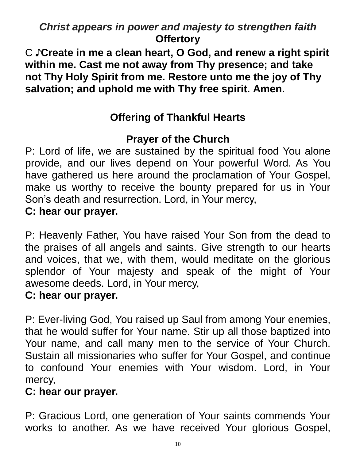## *Christ appears in power and majesty to strengthen faith* **Offertory**

C ♪**Create in me a clean heart, O God, and renew a right spirit within me. Cast me not away from Thy presence; and take not Thy Holy Spirit from me. Restore unto me the joy of Thy salvation; and uphold me with Thy free spirit. Amen.**

## **Offering of Thankful Hearts**

#### **Prayer of the Church**

P: Lord of life, we are sustained by the spiritual food You alone provide, and our lives depend on Your powerful Word. As You have gathered us here around the proclamation of Your Gospel, make us worthy to receive the bounty prepared for us in Your Son's death and resurrection. Lord, in Your mercy, **C: hear our prayer.**

P: Heavenly Father, You have raised Your Son from the dead to the praises of all angels and saints. Give strength to our hearts and voices, that we, with them, would meditate on the glorious splendor of Your majesty and speak of the might of Your awesome deeds. Lord, in Your mercy,

#### **C: hear our prayer.**

P: Ever-living God, You raised up Saul from among Your enemies, that he would suffer for Your name. Stir up all those baptized into Your name, and call many men to the service of Your Church. Sustain all missionaries who suffer for Your Gospel, and continue to confound Your enemies with Your wisdom. Lord, in Your mercy,

#### **C: hear our prayer.**

P: Gracious Lord, one generation of Your saints commends Your works to another. As we have received Your glorious Gospel,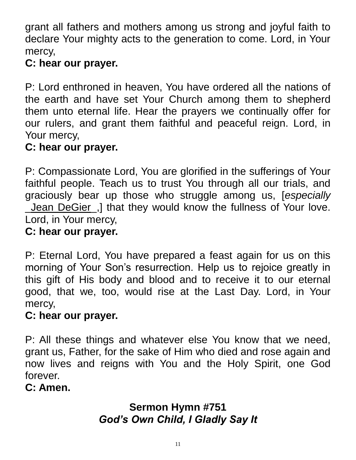grant all fathers and mothers among us strong and joyful faith to declare Your mighty acts to the generation to come. Lord, in Your mercy,

#### **C: hear our prayer.**

P: Lord enthroned in heaven, You have ordered all the nations of the earth and have set Your Church among them to shepherd them unto eternal life. Hear the prayers we continually offer for our rulers, and grant them faithful and peaceful reign. Lord, in Your mercy,

#### **C: hear our prayer.**

P: Compassionate Lord, You are glorified in the sufferings of Your faithful people. Teach us to trust You through all our trials, and graciously bear up those who struggle among us, [*especially* \_Jean DeGier\_,] that they would know the fullness of Your love. Lord, in Your mercy,

#### **C: hear our prayer.**

P: Eternal Lord, You have prepared a feast again for us on this morning of Your Son's resurrection. Help us to rejoice greatly in this gift of His body and blood and to receive it to our eternal good, that we, too, would rise at the Last Day. Lord, in Your mercy,

#### **C: hear our prayer.**

P: All these things and whatever else You know that we need, grant us, Father, for the sake of Him who died and rose again and now lives and reigns with You and the Holy Spirit, one God forever.

#### **C: Amen.**

### **Sermon Hymn #751** *God's Own Child, I Gladly Say It*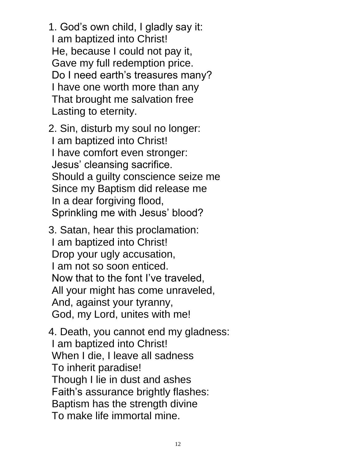1. God's own child, I gladly say it: I am baptized into Christ! He, because I could not pay it, Gave my full redemption price. Do I need earth's treasures many? I have one worth more than any That brought me salvation free Lasting to eternity.

 2. Sin, disturb my soul no longer: I am baptized into Christ! I have comfort even stronger: Jesus' cleansing sacrifice. Should a guilty conscience seize me Since my Baptism did release me In a dear forgiving flood, Sprinkling me with Jesus' blood?

 3. Satan, hear this proclamation: I am baptized into Christ! Drop your ugly accusation, I am not so soon enticed. Now that to the font I've traveled, All your might has come unraveled, And, against your tyranny, God, my Lord, unites with me!

 4. Death, you cannot end my gladness: I am baptized into Christ! When I die, I leave all sadness To inherit paradise! Though I lie in dust and ashes Faith's assurance brightly flashes: Baptism has the strength divine To make life immortal mine.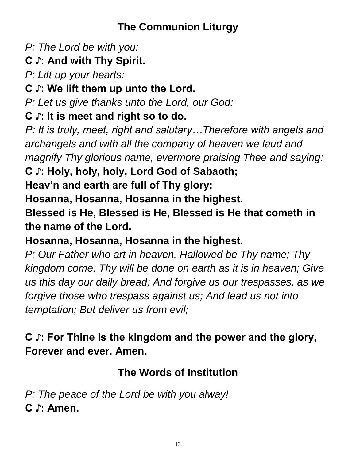## **The Communion Liturgy**

*P: The Lord be with you:*

# **C ♪: And with Thy Spirit.**

*P: Lift up your hearts:*

## **C ♪: We lift them up unto the Lord.**

*P: Let us give thanks unto the Lord, our God:*

### **C ♪: It is meet and right so to do.**

*P: It is truly, meet, right and salutary…Therefore with angels and archangels and with all the company of heaven we laud and magnify Thy glorious name, evermore praising Thee and saying:*

**C ♪: Holy, holy, holy, Lord God of Sabaoth;**

**Heav'n and earth are full of Thy glory;** 

**Hosanna, Hosanna, Hosanna in the highest.**

**Blessed is He, Blessed is He, Blessed is He that cometh in the name of the Lord.**

## **Hosanna, Hosanna, Hosanna in the highest.**

*P: Our Father who art in heaven, Hallowed be Thy name; Thy kingdom come; Thy will be done on earth as it is in heaven; Give us this day our daily bread; And forgive us our trespasses, as we forgive those who trespass against us; And lead us not into temptation; But deliver us from evil;*

# **C ♪: For Thine is the kingdom and the power and the glory, Forever and ever. Amen.**

# **The Words of Institution**

*P: The peace of the Lord be with you alway!*  **C ♪: Amen.**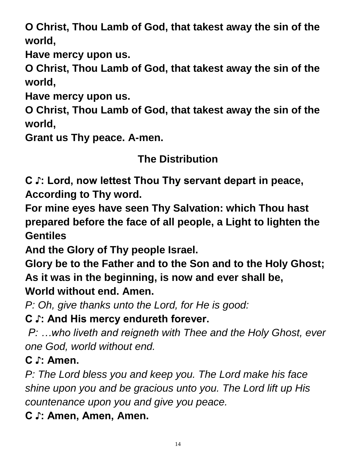**O Christ, Thou Lamb of God, that takest away the sin of the world,**

**Have mercy upon us.**

**O Christ, Thou Lamb of God, that takest away the sin of the world,**

**Have mercy upon us.**

**O Christ, Thou Lamb of God, that takest away the sin of the world,**

**Grant us Thy peace. A-men.**

### **The Distribution**

**C ♪: Lord, now lettest Thou Thy servant depart in peace, According to Thy word.**

**For mine eyes have seen Thy Salvation: which Thou hast prepared before the face of all people, a Light to lighten the Gentiles**

**And the Glory of Thy people Israel.**

**Glory be to the Father and to the Son and to the Holy Ghost; As it was in the beginning, is now and ever shall be, World without end. Amen.**

*P: Oh, give thanks unto the Lord, for He is good:*

**C ♪: And His mercy endureth forever.**

*P: …who liveth and reigneth with Thee and the Holy Ghost, ever one God, world without end.*

**C ♪: Amen.**

*P: The Lord bless you and keep you. The Lord make his face shine upon you and be gracious unto you. The Lord lift up His countenance upon you and give you peace.*

**C ♪: Amen, Amen, Amen.**